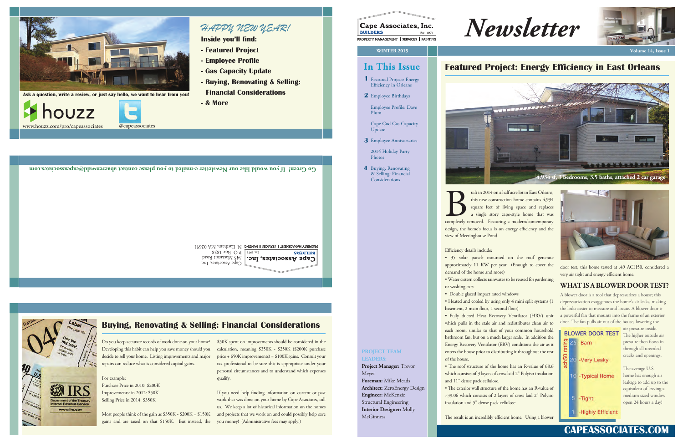*Newsletter*







4 Buying, Renovating & Selling: Financial Considerations

Cape Cod Gas Capacity Update

2014 Holiday Party Photos

Employee Anniversaries **3**

**Go Green! If you would like our Newsletter e-mailed to you please contact abaerenwald@capeassociates.com**

PROPERTY MANAGEMENT  $\parallel$  ERNOES  $\parallel$  PAINTING  $\parallel$  V,  $\parallel$  Eastham, MA 02651 **BUILDERS** 

P.O. Box 1858 345 Massasoit Road Cape Associates, Inc. Cape Associates, Inc.

# www.irs.gov

# **CAPEASSOCIATES.COM**

# **Featured Project: Energy Efficiency in East Orleans**

• Double glazed impact rated windows • Heated and cooled by using only 4 mini split systems (1 basement, 2 main floor, 1 second floor)

uilt in 2014 on a half acre lot in East Orleans, this new construction home contains 4,934 square feet of living space and replaces a single story cape-style home that was ult in 2014 on a half acre lot in East Orleans,<br>this new construction home contains 4,934<br>square feet of living space and replaces<br>a single story cape-style home that was<br>completely removed. Featuring a modern/contemporary design, the home's focus is on energy efficiency and the view of Meetinghouse Pond.

Efficiency details include:

• The roof structure of the home has an R-value of 68.6 which consists of 3 layers of cross laid 2" Polyiso insulation and 11" dense pack cellulose.

• The exterior wall structure of the home has an R-value of ~39.06 which consists of 2 layers of cross laid 2" Polyiso insulation and 5" dense pack cellulose.

The result is an incredibly efficient home. Using a blower

door test, this home tested at .49 ACH50, considered a very air tight and energy efficient home.

• 35 solar panels mounted on the roof generate approximately 11 KW per year (Enough to cover the demand of the home and more) • Water cistern collects rainwater to be reused for gardening or washing cars

> A blower door is a tool that depressurizes a house; this depressurization exaggerates the home's air leaks, making the leaks easier to measure and locate. A blower door is a powerful fan that mounts into the frame of an exterior door. The fan pulls air out of the house, lowering the

| <b>BLOWER DOOR TEST</b> |  |                     |
|-------------------------|--|---------------------|
| rating                  |  | 25 -Barn            |
| ach <sub>50</sub>       |  | 20 - Very Leaky     |
|                         |  | 10 - Typical Home   |
|                         |  |                     |
|                         |  | 5 - Tight           |
|                         |  | 1 -Highly Efficient |
|                         |  |                     |

The average U.S. home has enough air leakage to add up to the equivalent of leaving a medium sized window open 24 hours a day!

**Foreman:** Mike Meads **Architect:** ZeroEnergy Design **Engineer:** McKenzie Structural Engineering **Interior Designer:** Molly **McGinness** 

• Fully ducted Heat Recovery Ventilator (HRV) unit which pulls in the stale air and redistributes clean air to each room, similar to that of your common household bathroom fan, but on a much larger scale. In addition the Energy Recovery Ventilator (ERV) conditions the air as it enters the house prior to distributing it throughout the rest of the house.

If you need help finding information on current or past work that was done on your home by Cape Associates, call us. We keep a lot of historical information on the homes and projects that we work on and could possibly help save

## **WHAT IS A BLOWER DOOR TEST?**

air pressure inside. The higher outside air pressure then flows in through all unsealed cracks and openings.

#### **PROJECT TEAM LEADERS:**

### **Project Manager:** Trevor Meyer

Do you keep accurate records of work done on your home? Developing this habit can help you save money should you decide to sell your home. Listing improvements and major repairs can reduce what is considered capital gains.

#### For example: Purchase Price in 2010: \$200K Improvements: in 2012: \$50K Selling Price in 2014: \$350K

\$50K spent on improvements should be considered in the calculation, meaning \$350K - \$250K (\$200K purchase price + \$50K improvements) = \$100K gains. Consult your tax professional to be sure this is appropriate under your personal circumstances and to understand which expenses qualify.

Most people think of the gain as \$350K - \$200K = \$150K gains and are taxed on that \$150K. But instead, the you money! (Administrative fees may apply.)

# **Buying, Renovating & Selling: Financial Considerations**

*HAPPY NEW YEAR!*

**Inside you'll find:**

- **Featured Project**
- **Employee Profile**
- **Gas Capacity Update**
- **Buying, Renovating & Selling: Financial Considerations**
- **& More**





**Ask a question, write a review, or just say hello, we want to hear from you!**





www.houzz.com/pro/capeassociates @capeassociates